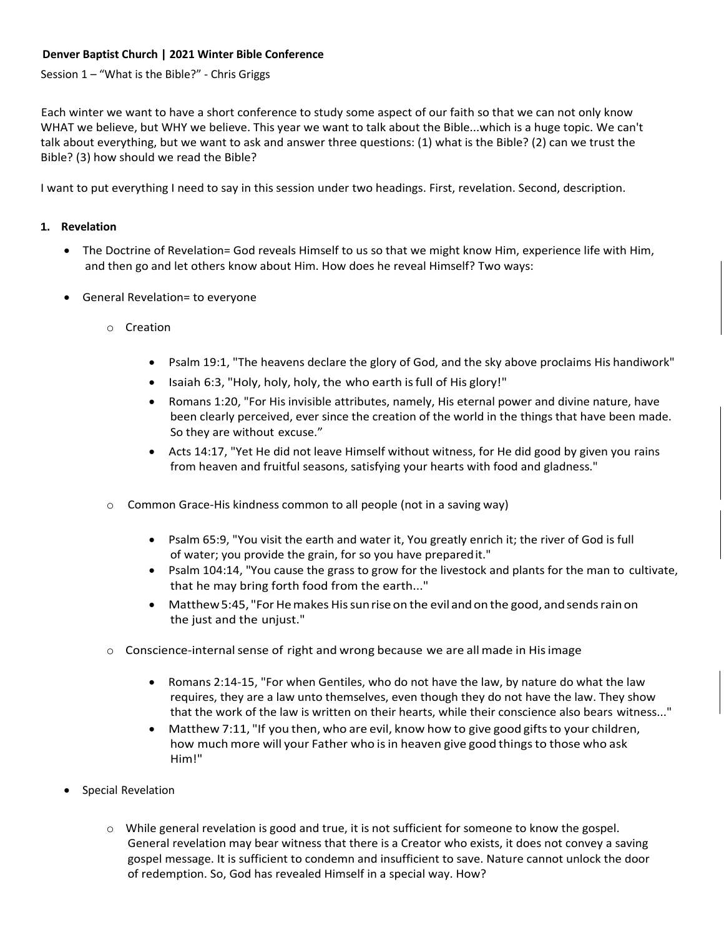# **Denver Baptist Church | 2021 Winter Bible Conference**

Session 1 – "What is the Bible?" - Chris Griggs

Each winter we want to have a short conference to study some aspect of our faith so that we can not only know WHAT we believe, but WHY we believe. This year we want to talk about the Bible...which is a huge topic. We can't talk about everything, but we want to ask and answer three questions: (1) what is the Bible? (2) can we trust the Bible? (3) how should we read the Bible?

I want to put everything I need to say in this session under two headings. First, revelation. Second, description.

### **1. Revelation**

- The Doctrine of Revelation= God reveals Himself to us so that we might know Him, experience life with Him, and then go and let others know about Him. How does he reveal Himself? Two ways:
- General Revelation= to everyone
	- o Creation
		- Psalm 19:1, "The heavens declare the glory of God, and the sky above proclaims His handiwork"
		- Isaiah 6:3, "Holy, holy, holy, the who earth is full of His glory!"
		- Romans 1:20, "For His invisible attributes, namely, His eternal power and divine nature, have been clearly perceived, ever since the creation of the world in the things that have been made. So they are without excuse."
		- Acts 14:17, "Yet He did not leave Himself without witness, for He did good by given you rains from heaven and fruitful seasons, satisfying your hearts with food and gladness."
	- $\circ$  Common Grace-His kindness common to all people (not in a saving way)
		- Psalm 65:9, "You visit the earth and water it, You greatly enrich it; the river of God is full of water; you provide the grain, for so you have preparedit."
		- Psalm 104:14, "You cause the grass to grow for the livestock and plants for the man to cultivate, that he may bring forth food from the earth..."
		- Matthew 5:45, "For He makes His sun rise on the evil and on the good, and sends rain on the just and the unjust."
	- $\circ$  Conscience-internal sense of right and wrong because we are all made in Hisimage
		- Romans 2:14-15, "For when Gentiles, who do not have the law, by nature do what the law requires, they are a law unto themselves, even though they do not have the law. They show that the work of the law is written on their hearts, while their conscience also bears witness..."
		- Matthew 7:11, "If you then, who are evil, know how to give good gifts to your children, how much more will your Father who is in heaven give good things to those who ask Him!"
- Special Revelation
	- $\circ$  While general revelation is good and true, it is not sufficient for someone to know the gospel. General revelation may bear witness that there is a Creator who exists, it does not convey a saving gospel message. It is sufficient to condemn and insufficient to save. Nature cannot unlock the door of redemption. So, God has revealed Himself in a special way. How?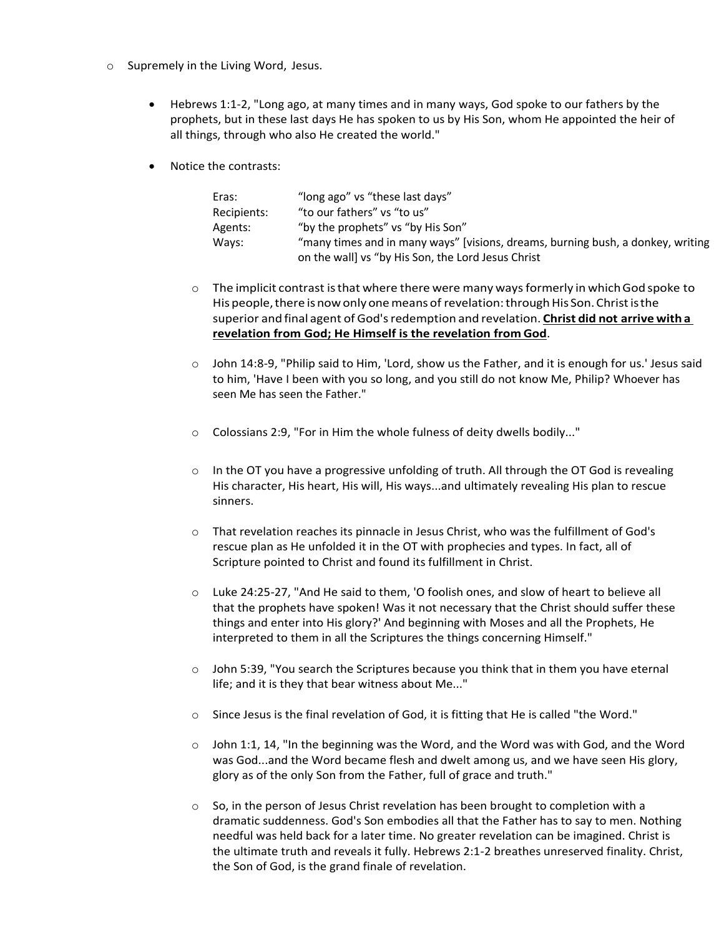- o Supremely in the Living Word, Jesus.
	- Hebrews 1:1-2, "Long ago, at many times and in many ways, God spoke to our fathers by the prophets, but in these last days He has spoken to us by His Son, whom He appointed the heir of all things, through who also He created the world."
	- Notice the contrasts:

| Eras:       | "long ago" vs "these last days"                                                 |
|-------------|---------------------------------------------------------------------------------|
| Recipients: | "to our fathers" vs "to us"                                                     |
| Agents:     | "by the prophets" vs "by His Son"                                               |
| Wavs:       | "many times and in many ways" [visions, dreams, burning bush, a donkey, writing |
|             | on the wall] vs "by His Son, the Lord Jesus Christ                              |

- $\circ$  The implicit contrast is that where there were many ways formerly in which God spoke to His people, there is now only one means of revelation: through His Son. Christ is the superior and final agent of God'sredemption and revelation. **Christ did not arrive with a revelation from God; He Himself is the revelation from God**.
- o John 14:8-9, "Philip said to Him, 'Lord, show us the Father, and it is enough for us.' Jesus said to him, 'Have I been with you so long, and you still do not know Me, Philip? Whoever has seen Me has seen the Father."
- o Colossians 2:9, "For in Him the whole fulness of deity dwells bodily..."
- In the OT you have a progressive unfolding of truth. All through the OT God is revealing His character, His heart, His will, His ways...and ultimately revealing His plan to rescue sinners.
- o That revelation reaches its pinnacle in Jesus Christ, who was the fulfillment of God's rescue plan as He unfolded it in the OT with prophecies and types. In fact, all of Scripture pointed to Christ and found its fulfillment in Christ.
- o Luke 24:25-27, "And He said to them, 'O foolish ones, and slow of heart to believe all that the prophets have spoken! Was it not necessary that the Christ should suffer these things and enter into His glory?' And beginning with Moses and all the Prophets, He interpreted to them in all the Scriptures the things concerning Himself."
- $\circ$  John 5:39, "You search the Scriptures because you think that in them you have eternal life; and it is they that bear witness about Me..."
- o Since Jesus is the final revelation of God, it is fitting that He is called "the Word."
- $\circ$  John 1:1, 14, "In the beginning was the Word, and the Word was with God, and the Word was God...and the Word became flesh and dwelt among us, and we have seen His glory, glory as of the only Son from the Father, full of grace and truth."
- $\circ$  So, in the person of Jesus Christ revelation has been brought to completion with a dramatic suddenness. God's Son embodies all that the Father has to say to men. Nothing needful was held back for a later time. No greater revelation can be imagined. Christ is the ultimate truth and reveals it fully. Hebrews 2:1-2 breathes unreserved finality. Christ, the Son of God, is the grand finale of revelation.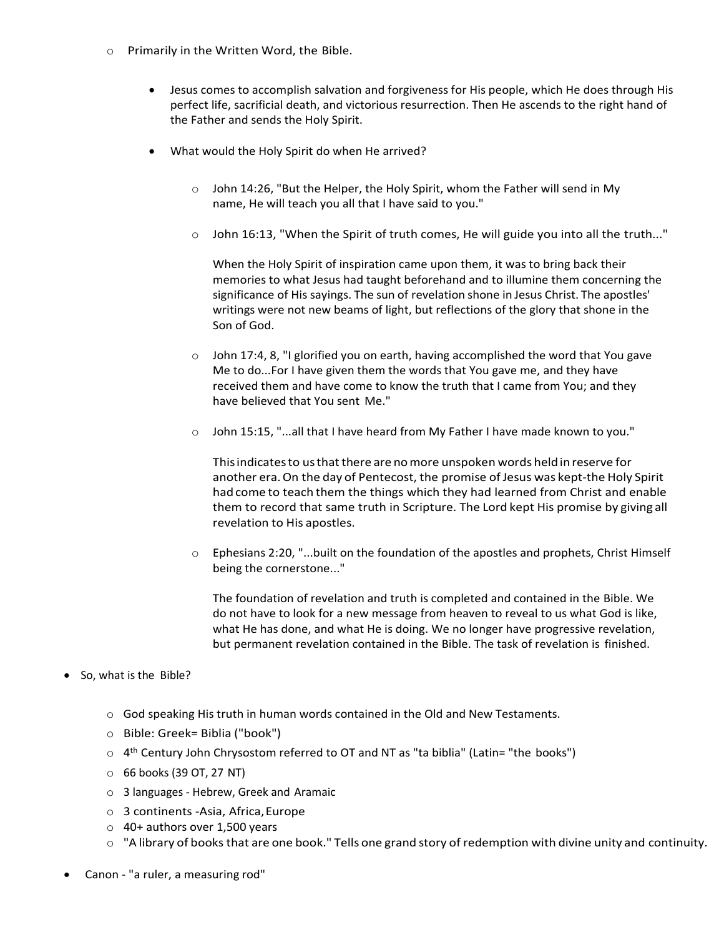- o Primarily in the Written Word, the Bible.
	- Jesus comes to accomplish salvation and forgiveness for His people, which He does through His perfect life, sacrificial death, and victorious resurrection. Then He ascends to the right hand of the Father and sends the Holy Spirit.
	- What would the Holy Spirit do when He arrived?
		- o John 14:26, "But the Helper, the Holy Spirit, whom the Father will send in My name, He will teach you all that I have said to you."
		- $\circ$  John 16:13, "When the Spirit of truth comes, He will guide you into all the truth..."

When the Holy Spirit of inspiration came upon them, it was to bring back their memories to what Jesus had taught beforehand and to illumine them concerning the significance of His sayings. The sun of revelation shone in Jesus Christ. The apostles' writings were not new beams of light, but reflections of the glory that shone in the Son of God.

- $\circ$  John 17:4, 8, "I glorified you on earth, having accomplished the word that You gave Me to do...For I have given them the words that You gave me, and they have received them and have come to know the truth that I came from You; and they have believed that You sent Me."
- o John 15:15, "...all that I have heard from My Father I have made known to you."

This indicates to us that there are no more unspoken words held in reserve for another era.On the day of Pentecost, the promise of Jesus was kept-the Holy Spirit had come to teach them the things which they had learned from Christ and enable them to record that same truth in Scripture. The Lord kept His promise by giving all revelation to His apostles.

o Ephesians 2:20, "...built on the foundation of the apostles and prophets, Christ Himself being the cornerstone..."

The foundation of revelation and truth is completed and contained in the Bible. We do not have to look for a new message from heaven to reveal to us what God is like, what He has done, and what He is doing. We no longer have progressive revelation, but permanent revelation contained in the Bible. The task of revelation is finished.

- So, what is the Bible?
	- $\circ$  God speaking His truth in human words contained in the Old and New Testaments.
	- o Bible: Greek= Biblia ("book")
	- o 4<sup>th</sup> Century John Chrysostom referred to OT and NT as "ta biblia" (Latin= "the books")
	- o 66 books (39 OT, 27 NT)
	- o 3 languages Hebrew, Greek and Aramaic
	- o 3 continents -Asia, Africa,Europe
	- $\circ$  40+ authors over 1,500 years
	- $\circ$  "A library of books that are one book." Tells one grand story of redemption with divine unity and continuity.
- Canon "a ruler, a measuring rod"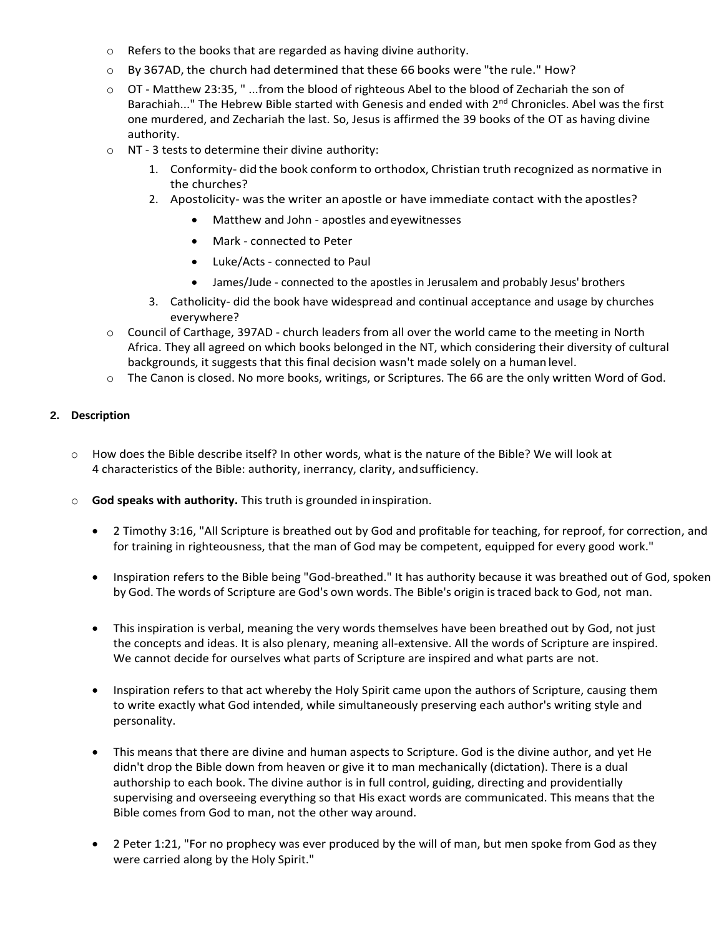- o Refers to the books that are regarded as having divine authority.
- o By 367AD, the church had determined that these 66 books were "the rule." How?
- o OT Matthew 23:35, " ...from the blood of righteous Abel to the blood of Zechariah the son of Barachiah..." The Hebrew Bible started with Genesis and ended with 2<sup>nd</sup> Chronicles. Abel was the first one murdered, and Zechariah the last. So, Jesus is affirmed the 39 books of the OT as having divine authority.
- o NT 3 tests to determine their divine authority:
	- 1. Conformity- did the book conform to orthodox, Christian truth recognized as normative in the churches?
	- 2. Apostolicity- was the writer an apostle or have immediate contact with the apostles?
		- Matthew and John apostles and eyewitnesses
		- Mark connected to Peter
		- Luke/Acts connected to Paul
		- James/Jude connected to the apostles in Jerusalem and probably Jesus' brothers
	- 3. Catholicity- did the book have widespread and continual acceptance and usage by churches everywhere?
- o Council of Carthage, 397AD church leaders from all over the world came to the meeting in North Africa. They all agreed on which books belonged in the NT, which considering their diversity of cultural backgrounds, it suggests that this final decision wasn't made solely on a human level.
- o The Canon is closed. No more books, writings, or Scriptures. The 66 are the only written Word of God.

## **2. Description**

- o How does the Bible describe itself? In other words, what is the nature of the Bible? We will look at 4 characteristics of the Bible: authority, inerrancy, clarity, andsufficiency.
- o **God speaks with authority.** This truth is grounded in inspiration.
	- 2 Timothy 3:16, "All Scripture is breathed out by God and profitable for teaching, for reproof, for correction, and for training in righteousness, that the man of God may be competent, equipped for every good work."
	- Inspiration refers to the Bible being "God-breathed." It has authority because it was breathed out of God, spoken by God. The words of Scripture are God's own words. The Bible's origin istraced back to God, not man.
	- This inspiration is verbal, meaning the very words themselves have been breathed out by God, not just the concepts and ideas. It is also plenary, meaning all-extensive. All the words of Scripture are inspired. We cannot decide for ourselves what parts of Scripture are inspired and what parts are not.
	- Inspiration refers to that act whereby the Holy Spirit came upon the authors of Scripture, causing them to write exactly what God intended, while simultaneously preserving each author's writing style and personality.
	- This means that there are divine and human aspects to Scripture. God is the divine author, and yet He didn't drop the Bible down from heaven or give it to man mechanically (dictation). There is a dual authorship to each book. The divine author is in full control, guiding, directing and providentially supervising and overseeing everything so that His exact words are communicated. This means that the Bible comes from God to man, not the other way around.
	- 2 Peter 1:21, "For no prophecy was ever produced by the will of man, but men spoke from God as they were carried along by the Holy Spirit."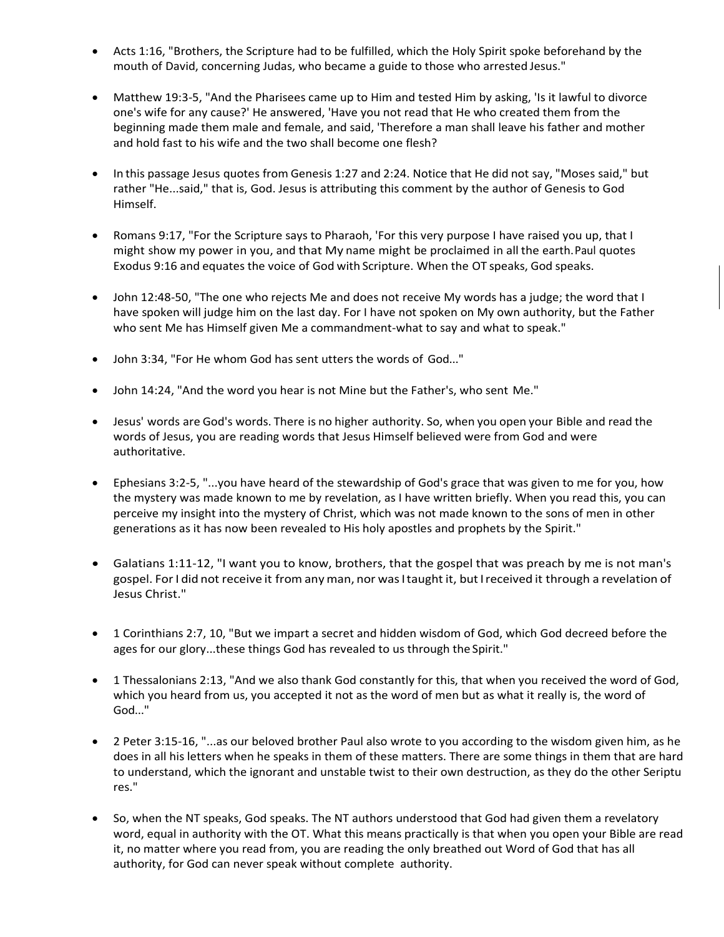- Acts 1:16, "Brothers, the Scripture had to be fulfilled, which the Holy Spirit spoke beforehand by the mouth of David, concerning Judas, who became a guide to those who arrested Jesus."
- Matthew 19:3-5, "And the Pharisees came up to Him and tested Him by asking, 'Is it lawful to divorce one's wife for any cause?' He answered, 'Have you not read that He who created them from the beginning made them male and female, and said, 'Therefore a man shall leave his father and mother and hold fast to his wife and the two shall become one flesh?
- In this passage Jesus quotes from Genesis 1:27 and 2:24. Notice that He did not say, "Moses said," but rather "He...said," that is, God. Jesus is attributing this comment by the author of Genesis to God Himself.
- Romans 9:17, "For the Scripture says to Pharaoh, 'For this very purpose I have raised you up, that I might show my power in you, and that My name might be proclaimed in all the earth. Paul quotes Exodus 9:16 and equates the voice of God with Scripture. When the OT speaks, God speaks.
- John 12:48-50, "The one who rejects Me and does not receive My words has a judge; the word that I have spoken will judge him on the last day. For I have not spoken on My own authority, but the Father who sent Me has Himself given Me a commandment-what to say and what to speak."
- John 3:34, "For He whom God has sent utters the words of God..."
- John 14:24, "And the word you hear is not Mine but the Father's, who sent Me."
- Jesus' words are God's words. There is no higher authority. So, when you open your Bible and read the words of Jesus, you are reading words that Jesus Himself believed were from God and were authoritative.
- Ephesians 3:2-5, "...you have heard of the stewardship of God's grace that was given to me for you, how the mystery was made known to me by revelation, as I have written briefly. When you read this, you can perceive my insight into the mystery of Christ, which was not made known to the sons of men in other generations as it has now been revealed to His holy apostles and prophets by the Spirit."
- Galatians 1:11-12, "I want you to know, brothers, that the gospel that was preach by me is not man's gospel. For I did not receive it from any man, nor was I taught it, but I received it through a revelation of Jesus Christ."
- 1 Corinthians 2:7, 10, "But we impart a secret and hidden wisdom of God, which God decreed before the ages for our glory...these things God has revealed to us through the Spirit."
- 1 Thessalonians 2:13, "And we also thank God constantly for this, that when you received the word of God, which you heard from us, you accepted it not as the word of men but as what it really is, the word of God..."
- 2 Peter 3:15-16, "...as our beloved brother Paul also wrote to you according to the wisdom given him, as he does in all his letters when he speaks in them of these matters. There are some things in them that are hard to understand, which the ignorant and unstable twist to their own destruction, as they do the other Seriptu res."
- So, when the NT speaks, God speaks. The NT authors understood that God had given them a revelatory word, equal in authority with the OT. What this means practically is that when you open your Bible are read it, no matter where you read from, you are reading the only breathed out Word of God that has all authority, for God can never speak without complete authority.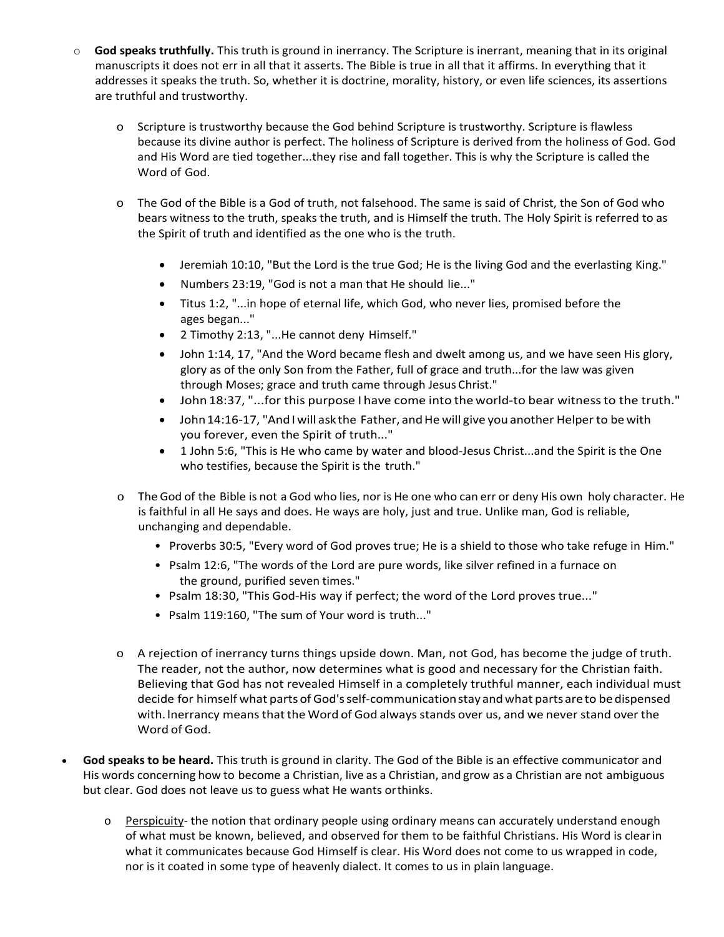- o **God speaks truthfully.** This truth is ground in inerrancy. The Scripture is inerrant, meaning that in its original manuscripts it does not err in all that it asserts. The Bible is true in all that it affirms. In everything that it addresses it speaks the truth. So, whether it is doctrine, morality, history, or even life sciences, its assertions are truthful and trustworthy.
	- o Scripture is trustworthy because the God behind Scripture is trustworthy. Scripture is flawless because its divine author is perfect. The holiness of Scripture is derived from the holiness of God. God and His Word are tied together...they rise and fall together. This is why the Scripture is called the Word of God.
	- o The God of the Bible is a God of truth, not falsehood. The same is said of Christ, the Son of God who bears witness to the truth, speaks the truth, and is Himself the truth. The Holy Spirit is referred to as the Spirit of truth and identified as the one who is the truth.
		- Jeremiah 10:10, "But the Lord is the true God; He is the living God and the everlasting King."
		- Numbers 23:19, "God is not a man that He should lie..."
		- Titus 1:2, "...in hope of eternal life, which God, who never lies, promised before the ages began..."
		- 2 Timothy 2:13, "...He cannot deny Himself."
		- John 1:14, 17, "And the Word became flesh and dwelt among us, and we have seen His glory, glory as of the only Son from the Father, full of grace and truth...for the law was given through Moses; grace and truth came through Jesus Christ."
		- John18:37, "...for this purpose I have come into the world-to bear witnessto the truth."
		- John 14:16-17, "And I will ask the Father, and He will give you another Helper to be with you forever, even the Spirit of truth..."
		- 1 John 5:6, "This is He who came by water and blood-Jesus Christ...and the Spirit is the One who testifies, because the Spirit is the truth."
	- o The God of the Bible is not a God who lies, nor is He one who can err or deny His own holy character. He is faithful in all He says and does. He ways are holy, just and true. Unlike man, God is reliable, unchanging and dependable.
		- Proverbs 30:5, "Every word of God proves true; He is a shield to those who take refuge in Him."
		- Psalm 12:6, "The words of the Lord are pure words, like silver refined in a furnace on the ground, purified seven times."
		- Psalm 18:30, "This God-His way if perfect; the word of the Lord proves true..."
		- Psalm 119:160, "The sum of Your word is truth..."
	- o A rejection of inerrancy turns things upside down. Man, not God, has become the judge of truth. The reader, not the author, now determines what is good and necessary for the Christian faith. Believing that God has not revealed Himself in a completely truthful manner, each individual must decide for himself what parts of God'sself-communicationstay andwhat partsareto bedispensed with. Inerrancy means that the Word of God always stands over us, and we never stand over the Word of God.
- **God speaks to be heard.** This truth is ground in clarity. The God of the Bible is an effective communicator and His words concerning how to become a Christian, live as a Christian, and grow as a Christian are not ambiguous but clear. God does not leave us to guess what He wants orthinks.
	- o Perspicuity- the notion that ordinary people using ordinary means can accurately understand enough of what must be known, believed, and observed for them to be faithful Christians. His Word is clearin what it communicates because God Himself is clear. His Word does not come to us wrapped in code, nor is it coated in some type of heavenly dialect. It comes to us in plain language.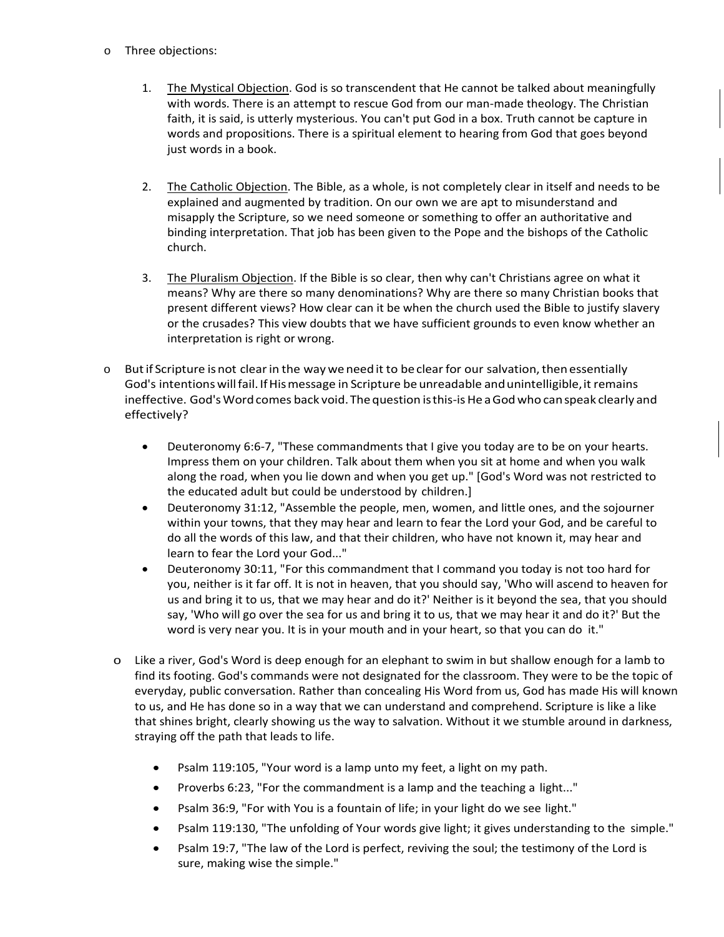- o Three objections:
	- 1. The Mystical Objection. God is so transcendent that He cannot be talked about meaningfully with words. There is an attempt to rescue God from our man-made theology. The Christian faith, it is said, is utterly mysterious. You can't put God in a box. Truth cannot be capture in words and propositions. There is a spiritual element to hearing from God that goes beyond just words in a book.
	- 2. The Catholic Objection. The Bible, as a whole, is not completely clear in itself and needs to be explained and augmented by tradition. On our own we are apt to misunderstand and misapply the Scripture, so we need someone or something to offer an authoritative and binding interpretation. That job has been given to the Pope and the bishops of the Catholic church.
	- 3. The Pluralism Objection. If the Bible is so clear, then why can't Christians agree on what it means? Why are there so many denominations? Why are there so many Christian books that present different views? How clear can it be when the church used the Bible to justify slavery or the crusades? This view doubts that we have sufficient grounds to even know whether an interpretation is right or wrong.
- o Butif Scripture is not clearin the way we need it to be clearfor our salvation,then essentially God's intentions will fail. If His message in Scripture be unreadable and unintelligible, it remains ineffective. God's Word comes back void. The question is this-is He a God who can speak clearly and effectively?
	- Deuteronomy 6:6-7, "These commandments that I give you today are to be on your hearts. Impress them on your children. Talk about them when you sit at home and when you walk along the road, when you lie down and when you get up." [God's Word was not restricted to the educated adult but could be understood by children.]
	- Deuteronomy 31:12, "Assemble the people, men, women, and little ones, and the sojourner within your towns, that they may hear and learn to fear the Lord your God, and be careful to do all the words of this law, and that their children, who have not known it, may hear and learn to fear the Lord your God..."
	- Deuteronomy 30:11, "For this commandment that I command you today is not too hard for you, neither is it far off. It is not in heaven, that you should say, 'Who will ascend to heaven for us and bring it to us, that we may hear and do it?' Neither is it beyond the sea, that you should say, 'Who will go over the sea for us and bring it to us, that we may hear it and do it?' But the word is very near you. It is in your mouth and in your heart, so that you can do it."
	- o Like a river, God's Word is deep enough for an elephant to swim in but shallow enough for a lamb to find its footing. God's commands were not designated for the classroom. They were to be the topic of everyday, public conversation. Rather than concealing His Word from us, God has made His will known to us, and He has done so in a way that we can understand and comprehend. Scripture is like a like that shines bright, clearly showing us the way to salvation. Without it we stumble around in darkness, straying off the path that leads to life.
		- Psalm 119:105, "Your word is a lamp unto my feet, a light on my path.
		- Proverbs 6:23, "For the commandment is a lamp and the teaching a light..."
		- Psalm 36:9, "For with You is a fountain of life; in your light do we see light."
		- Psalm 119:130, "The unfolding of Your words give light; it gives understanding to the simple."
		- Psalm 19:7, "The law of the Lord is perfect, reviving the soul; the testimony of the Lord is sure, making wise the simple."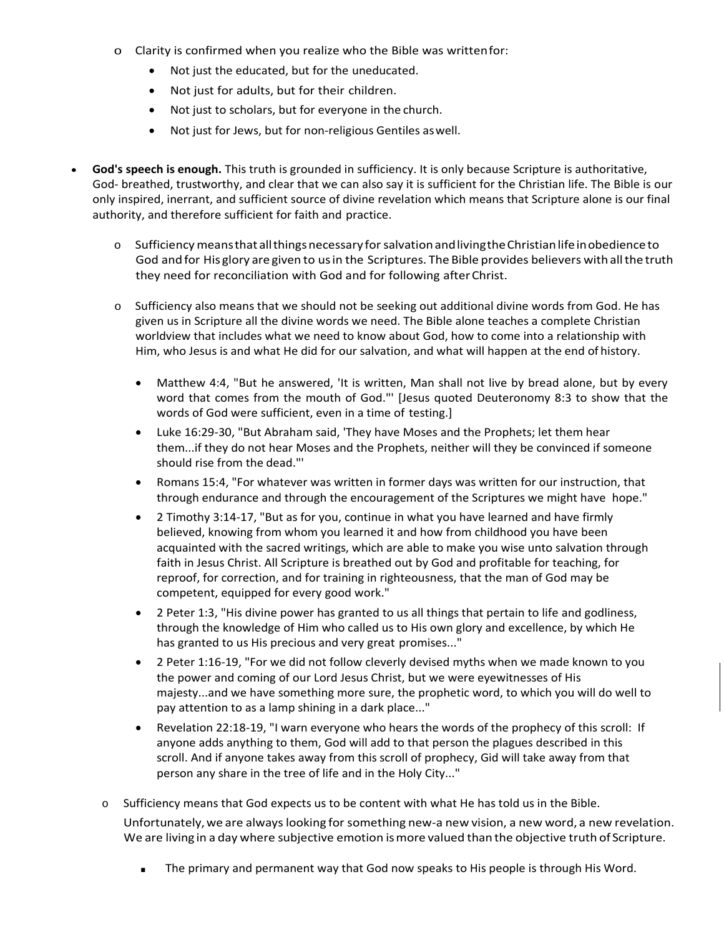- o Clarity is confirmed when you realize who the Bible was writtenfor:
	- Not just the educated, but for the uneducated.
	- Not just for adults, but for their children.
	- Not just to scholars, but for everyone in the church.
	- Not just for Jews, but for non-religious Gentiles aswell.
- **God's speech is enough.** This truth is grounded in sufficiency. It is only because Scripture is authoritative, God- breathed, trustworthy, and clear that we can also say it is sufficient for the Christian life. The Bible is our only inspired, inerrant, and sufficient source of divine revelation which means that Scripture alone is our final authority, and therefore sufficient for faith and practice.
	- o Sufficiencymeansthat allthingsnecessary forsalvationandlivingtheChristianlifeinobedience to God and for His glory are given to us in the Scriptures. The Bible provides believers with all the truth they need for reconciliation with God and for following afterChrist.
	- o Sufficiency also means that we should not be seeking out additional divine words from God. He has given us in Scripture all the divine words we need. The Bible alone teaches a complete Christian worldview that includes what we need to know about God, how to come into a relationship with Him, who Jesus is and what He did for our salvation, and what will happen at the end of history.
		- Matthew 4:4, "But he answered, 'It is written, Man shall not live by bread alone, but by every word that comes from the mouth of God."' [Jesus quoted Deuteronomy 8:3 to show that the words of God were sufficient, even in a time of testing.]
		- Luke 16:29-30, "But Abraham said, 'They have Moses and the Prophets; let them hear them...if they do not hear Moses and the Prophets, neither will they be convinced if someone should rise from the dead."'
		- Romans 15:4, "For whatever was written in former days was written for our instruction, that through endurance and through the encouragement of the Scriptures we might have hope."
		- 2 Timothy 3:14-17, "But as for you, continue in what you have learned and have firmly believed, knowing from whom you learned it and how from childhood you have been acquainted with the sacred writings, which are able to make you wise unto salvation through faith in Jesus Christ. All Scripture is breathed out by God and profitable for teaching, for reproof, for correction, and for training in righteousness, that the man of God may be competent, equipped for every good work."
		- 2 Peter 1:3, "His divine power has granted to us all things that pertain to life and godliness, through the knowledge of Him who called us to His own glory and excellence, by which He has granted to us His precious and very great promises..."
		- 2 Peter 1:16-19, "For we did not follow cleverly devised myths when we made known to you the power and coming of our Lord Jesus Christ, but we were eyewitnesses of His majesty...and we have something more sure, the prophetic word, to which you will do well to pay attention to as a lamp shining in a dark place..."
		- Revelation 22:18-19, "I warn everyone who hears the words of the prophecy of this scroll: If anyone adds anything to them, God will add to that person the plagues described in this scroll. And if anyone takes away from this scroll of prophecy, Gid will take away from that person any share in the tree of life and in the Holy City..."
	- o Sufficiency means that God expects us to be content with what He has told us in the Bible.

Unfortunately, we are always looking for something new-a new vision, a new word, a new revelation. We are living in a day where subjective emotion is more valued than the objective truth of Scripture.

■ The primary and permanent way that God now speaks to His people is through His Word.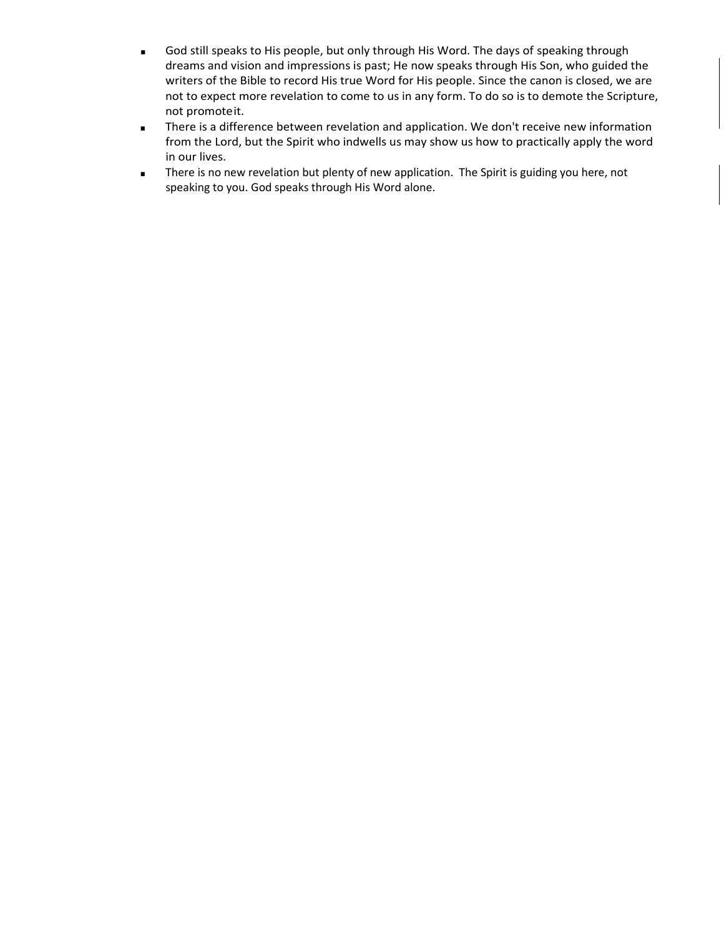- God still speaks to His people, but only through His Word. The days of speaking through dreams and vision and impressions is past; He now speaks through His Son, who guided the writers of the Bible to record His true Word for His people. Since the canon is closed, we are not to expect more revelation to come to us in any form. To do so is to demote the Scripture, not promoteit.
- There is a difference between revelation and application. We don't receive new information from the Lord, but the Spirit who indwells us may show us how to practically apply the word in our lives.
- There is no new revelation but plenty of new application. The Spirit is guiding you here, not speaking to you. God speaks through His Word alone.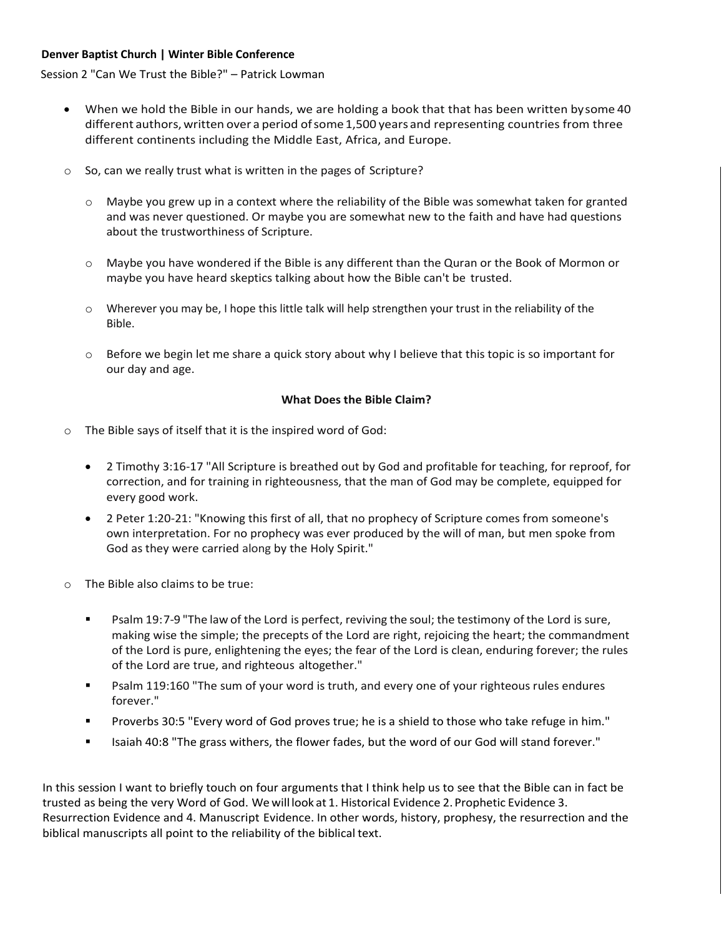# **Denver Baptist Church | Winter Bible Conference**

Session 2 "Can We Trust the Bible?" – Patrick Lowman

- When we hold the Bible in our hands, we are holding a book that that has been written bysome 40 different authors, written over a period of some 1,500 years and representing countries from three different continents including the Middle East, Africa, and Europe.
- o So, can we really trust what is written in the pages of Scripture?
	- $\circ$  Maybe you grew up in a context where the reliability of the Bible was somewhat taken for granted and was never questioned. Or maybe you are somewhat new to the faith and have had questions about the trustworthiness of Scripture.
	- o Maybe you have wondered if the Bible is any different than the Quran or the Book of Mormon or maybe you have heard skeptics talking about how the Bible can't be trusted.
	- $\circ$  Wherever you may be, I hope this little talk will help strengthen your trust in the reliability of the Bible.
	- o Before we begin let me share a quick story about why I believe that this topic is so important for our day and age.

#### **What Does the Bible Claim?**

- o The Bible says of itself that it is the inspired word of God:
	- 2 Timothy 3:16-17 "All Scripture is breathed out by God and profitable for teaching, for reproof, for correction, and for training in righteousness, that the man of God may be complete, equipped for every good work.
	- 2 Peter 1:20-21: "Knowing this first of all, that no prophecy of Scripture comes from someone's own interpretation. For no prophecy was ever produced by the will of man, but men spoke from God as they were carried along by the Holy Spirit."
- o The Bible also claims to be true:
	- Psalm 19:7-9 "The law of the Lord is perfect, reviving the soul; the testimony of the Lord is sure, making wise the simple; the precepts of the Lord are right, rejoicing the heart; the commandment of the Lord is pure, enlightening the eyes; the fear of the Lord is clean, enduring forever; the rules of the Lord are true, and righteous altogether."
	- Psalm 119:160 "The sum of your word is truth, and every one of your righteous rules endures forever."
	- Proverbs 30:5 "Every word of God proves true; he is a shield to those who take refuge in him."
	- Isaiah 40:8 "The grass withers, the flower fades, but the word of our God will stand forever."

In this session I want to briefly touch on four arguments that I think help us to see that the Bible can in fact be trusted as being the very Word of God. We will look at 1. Historical Evidence 2.Prophetic Evidence 3. Resurrection Evidence and 4. Manuscript Evidence. In other words, history, prophesy, the resurrection and the biblical manuscripts all point to the reliability of the biblical text.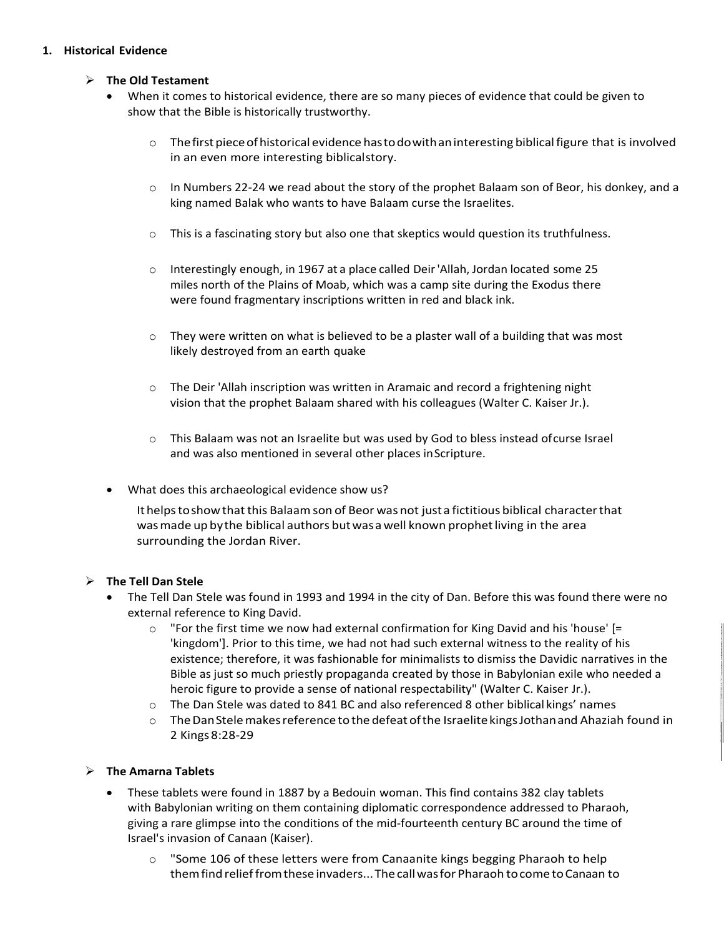# **1. Historical Evidence**

# ➢ **The Old Testament**

- When it comes to historical evidence, there are so many pieces of evidence that could be given to show that the Bible is historically trustworthy.
	- $\circ$  The first piece of historical evidence hastodo with an interesting biblical figure that is involved in an even more interesting biblicalstory.
	- $\circ$  In Numbers 22-24 we read about the story of the prophet Balaam son of Beor, his donkey, and a king named Balak who wants to have Balaam curse the Israelites.
	- $\circ$  This is a fascinating story but also one that skeptics would question its truthfulness.
	- o Interestingly enough, in 1967 at a place called Deir'Allah, Jordan located some 25 miles north of the Plains of Moab, which was a camp site during the Exodus there were found fragmentary inscriptions written in red and black ink.
	- $\circ$  They were written on what is believed to be a plaster wall of a building that was most likely destroyed from an earth quake
	- $\circ$  The Deir 'Allah inscription was written in Aramaic and record a frightening night vision that the prophet Balaam shared with his colleagues (Walter C. Kaiser Jr.).
	- $\circ$  This Balaam was not an Israelite but was used by God to bless instead of curse Israel and was also mentioned in several other places inScripture.
- What does this archaeological evidence show us?

Ithelpstoshowthatthis Balaam son of Beor was not justa fictitious biblical characterthat was made up bythe biblical authors but was a well known prophet living in the area surrounding the Jordan River.

# ➢ **The Tell Dan Stele**

- The Tell Dan Stele was found in 1993 and 1994 in the city of Dan. Before this was found there were no external reference to King David.
	- $\circ$  "For the first time we now had external confirmation for King David and his 'house' [= 'kingdom']. Prior to this time, we had not had such external witness to the reality of his existence; therefore, it was fashionable for minimalists to dismiss the Davidic narratives in the Bible as just so much priestly propaganda created by those in Babylonian exile who needed a heroic figure to provide a sense of national respectability" (Walter C. Kaiser Jr.).
	- $\circ$  The Dan Stele was dated to 841 BC and also referenced 8 other biblical kings' names
	- $\circ$  The Dan Stele makes reference to the defeat of the Israelite kings Jothan and Ahaziah found in 2 Kings 8:28-29

# ➢ **The Amarna Tablets**

- These tablets were found in 1887 by a Bedouin woman. This find contains 382 clay tablets with Babylonian writing on them containing diplomatic correspondence addressed to Pharaoh, giving a rare glimpse into the conditions of the mid-fourteenth century BC around the time of Israel's invasion of Canaan (Kaiser).
	- $\circ$  "Some 106 of these letters were from Canaanite kings begging Pharaoh to help them find relief from these invaders...The call was for Pharaoh to come to Canaan to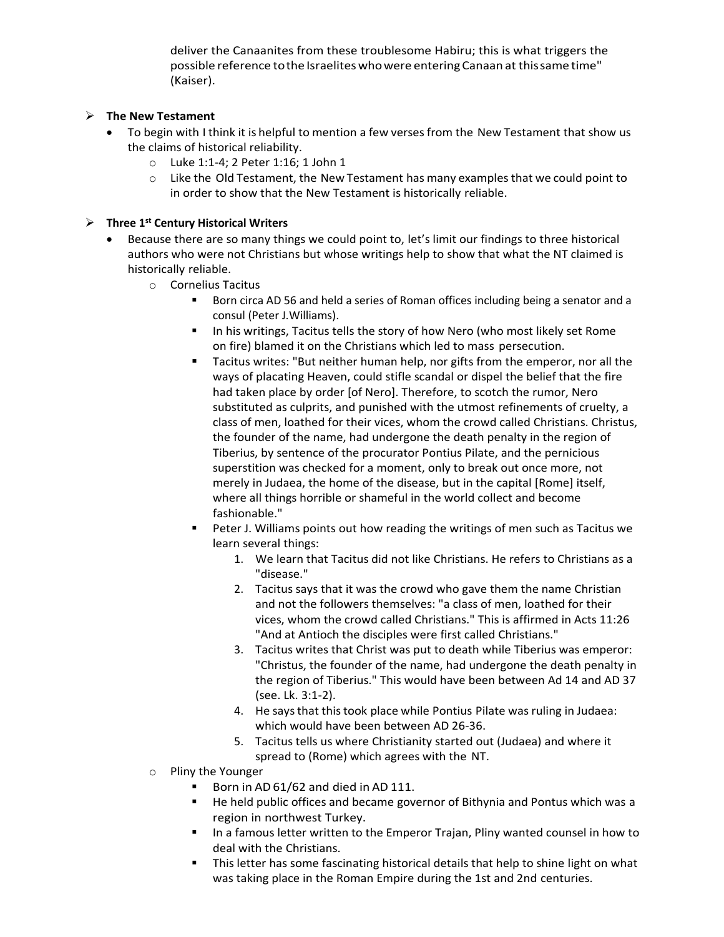deliver the Canaanites from these troublesome Habiru; this is what triggers the possible reference tothe Israeliteswhowere enteringCanaan at thissame time" (Kaiser).

# ➢ **The New Testament**

- To begin with I think it is helpful to mention a few versesfrom the New Testament that show us the claims of historical reliability.
	- o Luke 1:1-4; 2 Peter 1:16; 1 John 1
	- $\circ$  Like the Old Testament, the New Testament has many examples that we could point to in order to show that the New Testament is historically reliable.

# ➢ **Three 1st Century Historical Writers**

- Because there are so many things we could point to, let's limit our findings to three historical authors who were not Christians but whose writings help to show that what the NT claimed is historically reliable.
	- o Cornelius Tacitus
		- Born circa AD 56 and held a series of Roman offices including being a senator and a consul (Peter J.Williams).
		- In his writings, Tacitus tells the story of how Nero (who most likely set Rome on fire) blamed it on the Christians which led to mass persecution.
		- Tacitus writes: "But neither human help, nor gifts from the emperor, nor all the ways of placating Heaven, could stifle scandal or dispel the belief that the fire had taken place by order [of Nero]. Therefore, to scotch the rumor, Nero substituted as culprits, and punished with the utmost refinements of cruelty, a class of men, loathed for their vices, whom the crowd called Christians. Christus, the founder of the name, had undergone the death penalty in the region of Tiberius, by sentence of the procurator Pontius Pilate, and the pernicious superstition was checked for a moment, only to break out once more, not merely in Judaea, the home of the disease, but in the capital [Rome] itself, where all things horrible or shameful in the world collect and become fashionable."
		- Peter J. Williams points out how reading the writings of men such as Tacitus we learn several things:
			- 1. We learn that Tacitus did not like Christians. He refers to Christians as a "disease."
			- 2. Tacitus says that it was the crowd who gave them the name Christian and not the followers themselves: "a class of men, loathed for their vices, whom the crowd called Christians." This is affirmed in Acts 11:26 "And at Antioch the disciples were first called Christians."
			- 3. Tacitus writes that Christ was put to death while Tiberius was emperor: "Christus, the founder of the name, had undergone the death penalty in the region of Tiberius." This would have been between Ad 14 and AD 37 (see. Lk. 3:1-2).
			- 4. He says that this took place while Pontius Pilate was ruling in Judaea: which would have been between AD 26-36.
			- 5. Tacitus tells us where Christianity started out (Judaea) and where it spread to (Rome) which agrees with the NT.
	- o Pliny the Younger
		- Born in AD 61/62 and died in AD 111.
		- He held public offices and became governor of Bithynia and Pontus which was a region in northwest Turkey.
		- In a famous letter written to the Emperor Trajan, Pliny wanted counsel in how to deal with the Christians.
		- This letter has some fascinating historical details that help to shine light on what was taking place in the Roman Empire during the 1st and 2nd centuries.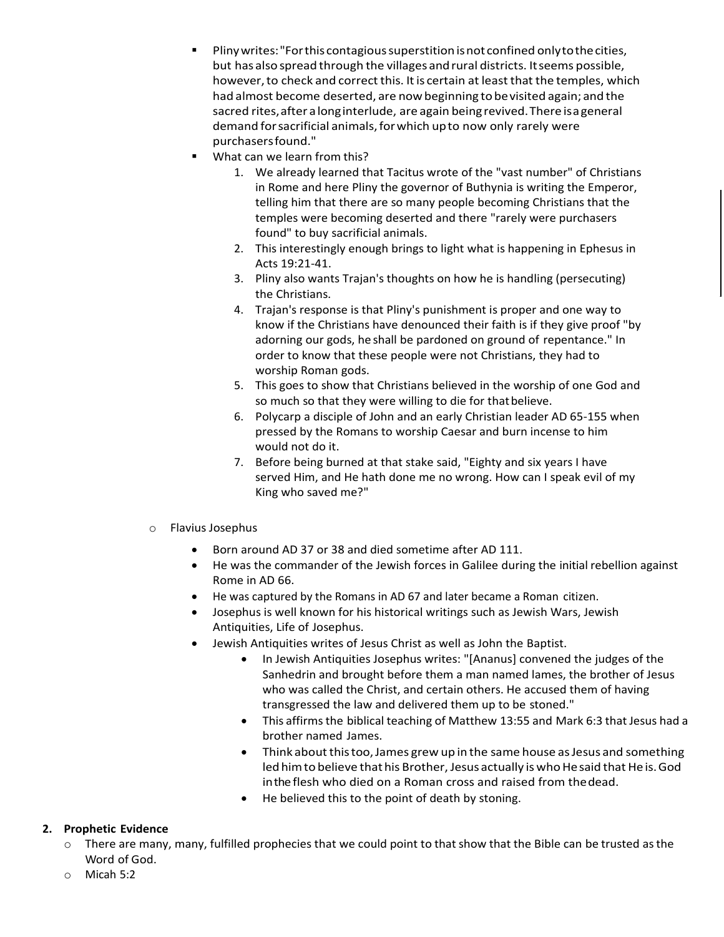- Pliny writes: "For this contagious superstition is not confined only to the cities, but has also spread through the villages andrural districts. Itseems possible, however, to check and correct this. It is certain at least that the temples, which had almost become deserted, are nowbeginning tobevisited again; and the sacred rites,after alonginterlude, are again beingrevived.There isageneral demand for sacrificial animals, for which up to now only rarely were purchasersfound."
- What can we learn from this?
	- 1. We already learned that Tacitus wrote of the "vast number" of Christians in Rome and here Pliny the governor of Buthynia is writing the Emperor, telling him that there are so many people becoming Christians that the temples were becoming deserted and there "rarely were purchasers found" to buy sacrificial animals.
	- 2. This interestingly enough brings to light what is happening in Ephesus in Acts 19:21-41.
	- 3. Pliny also wants Trajan's thoughts on how he is handling (persecuting) the Christians.
	- 4. Trajan's response is that Pliny's punishment is proper and one way to know if the Christians have denounced their faith is if they give proof "by adorning our gods, he shall be pardoned on ground of repentance." In order to know that these people were not Christians, they had to worship Roman gods.
	- 5. This goes to show that Christians believed in the worship of one God and so much so that they were willing to die for thatbelieve.
	- 6. Polycarp a disciple of John and an early Christian leader AD 65-155 when pressed by the Romans to worship Caesar and burn incense to him would not do it.
	- 7. Before being burned at that stake said, "Eighty and six years I have served Him, and He hath done me no wrong. How can I speak evil of my King who saved me?"
- o Flavius Josephus
	- Born around AD 37 or 38 and died sometime after AD 111.
	- He was the commander of the Jewish forces in Galilee during the initial rebellion against Rome in AD 66.
	- He was captured by the Romans in AD 67 and later became a Roman citizen.
	- Josephus is well known for his historical writings such as Jewish Wars, Jewish Antiquities, Life of Josephus.
	- Jewish Antiquities writes of Jesus Christ as well as John the Baptist.
		- In Jewish Antiquities Josephus writes: "[Ananus] convened the judges of the Sanhedrin and brought before them a man named lames, the brother of Jesus who was called the Christ, and certain others. He accused them of having transgressed the law and delivered them up to be stoned."
		- This affirms the biblical teaching of Matthew 13:55 and Mark 6:3 that Jesus had a brother named James.
		- Think about this too, James grew up in the same house as Jesus and something led him to believe that his Brother, Jesus actually is who He said that He is. God inthe flesh who died on a Roman cross and raised from thedead.
		- He believed this to the point of death by stoning.

# **2. Prophetic Evidence**

- $\circ$  There are many, many, fulfilled prophecies that we could point to that show that the Bible can be trusted as the Word of God.
- o Micah 5:2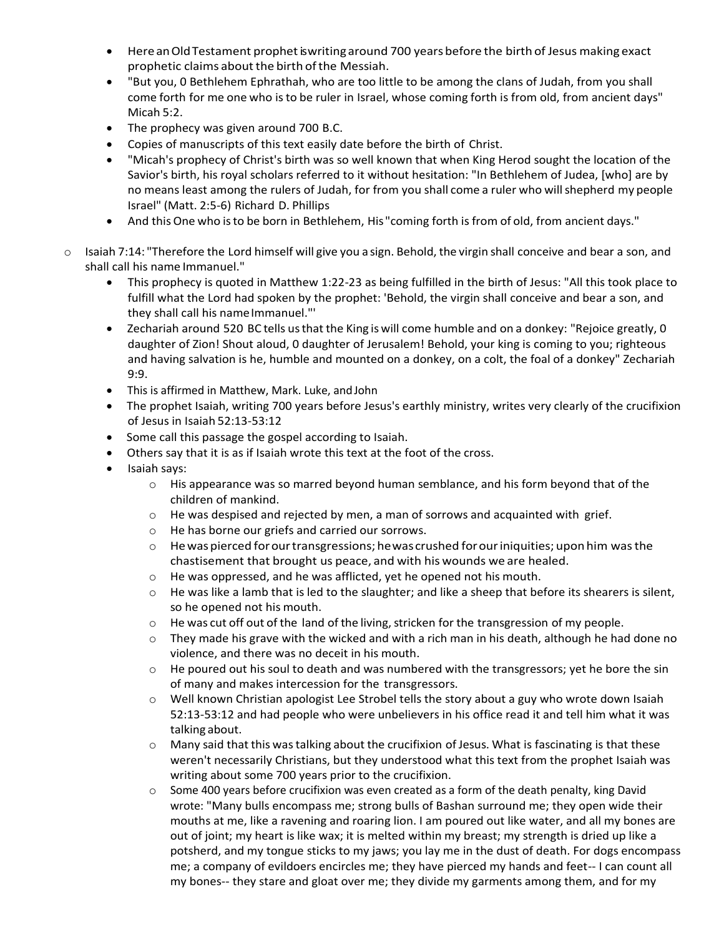- Here an Old Testament prophet is writing around 700 years before the birth of Jesus making exact prophetic claims about the birth of the Messiah.
- "But you, 0 Bethlehem Ephrathah, who are too little to be among the clans of Judah, from you shall come forth for me one who isto be ruler in Israel, whose coming forth is from old, from ancient days" Micah 5:2.
- The prophecy was given around 700 B.C.
- Copies of manuscripts of this text easily date before the birth of Christ.
- "Micah's prophecy of Christ's birth was so well known that when King Herod sought the location of the Savior's birth, his royal scholars referred to it without hesitation: "In Bethlehem of Judea, [who] are by no means least among the rulers of Judah, for from you shall come a ruler who willshepherd my people Israel" (Matt. 2:5-6) Richard D. Phillips
- And this One who is to be born in Bethlehem, His "coming forth is from of old, from ancient days."
- $\circ$  Isaiah 7:14: "Therefore the Lord himself will give you a sign. Behold, the virgin shall conceive and bear a son, and shall call his name Immanuel."
	- This prophecy is quoted in Matthew 1:22-23 as being fulfilled in the birth of Jesus: "All this took place to fulfill what the Lord had spoken by the prophet: 'Behold, the virgin shall conceive and bear a son, and they shall call his nameImmanuel."'
	- Zechariah around 520 BC tells usthat the King iswill come humble and on a donkey: "Rejoice greatly, 0 daughter of Zion! Shout aloud, 0 daughter of Jerusalem! Behold, your king is coming to you; righteous and having salvation is he, humble and mounted on a donkey, on a colt, the foal of a donkey" Zechariah 9:9.
	- This is affirmed in Matthew, Mark. Luke, andJohn
	- The prophet Isaiah, writing 700 years before Jesus's earthly ministry, writes very clearly of the crucifixion of Jesus in Isaiah 52:13-53:12
	- Some call this passage the gospel according to Isaiah.
	- Others say that it is as if Isaiah wrote this text at the foot of the cross.
	- Isaiah says:
		- $\circ$  His appearance was so marred beyond human semblance, and his form beyond that of the children of mankind.
		- $\circ$  He was despised and rejected by men, a man of sorrows and acquainted with grief.
		- o He has borne our griefs and carried our sorrows.
		- $\circ$  He was pierced for our transgressions; he was crushed for our iniquities; upon him was the chastisement that brought us peace, and with his wounds we are healed.
		- o He was oppressed, and he was afflicted, yet he opened not his mouth.
		- $\circ$  He was like a lamb that is led to the slaughter; and like a sheep that before its shearers is silent, so he opened not his mouth.
		- $\circ$  He was cut off out of the land of the living, stricken for the transgression of my people.
		- $\circ$  They made his grave with the wicked and with a rich man in his death, although he had done no violence, and there was no deceit in his mouth.
		- $\circ$  He poured out his soul to death and was numbered with the transgressors; yet he bore the sin of many and makes intercession for the transgressors.
		- $\circ$  Well known Christian apologist Lee Strobel tells the story about a guy who wrote down Isaiah 52:13-53:12 and had people who were unbelievers in his office read it and tell him what it was talking about.
		- $\circ$  Many said that this was talking about the crucifixion of Jesus. What is fascinating is that these weren't necessarily Christians, but they understood what this text from the prophet Isaiah was writing about some 700 years prior to the crucifixion.
		- $\circ$  Some 400 years before crucifixion was even created as a form of the death penalty, king David wrote: "Many bulls encompass me; strong bulls of Bashan surround me; they open wide their mouths at me, like a ravening and roaring lion. I am poured out like water, and all my bones are out of joint; my heart is like wax; it is melted within my breast; my strength is dried up like a potsherd, and my tongue sticks to my jaws; you lay me in the dust of death. For dogs encompass me; a company of evildoers encircles me; they have pierced my hands and feet-- I can count all my bones-- they stare and gloat over me; they divide my garments among them, and for my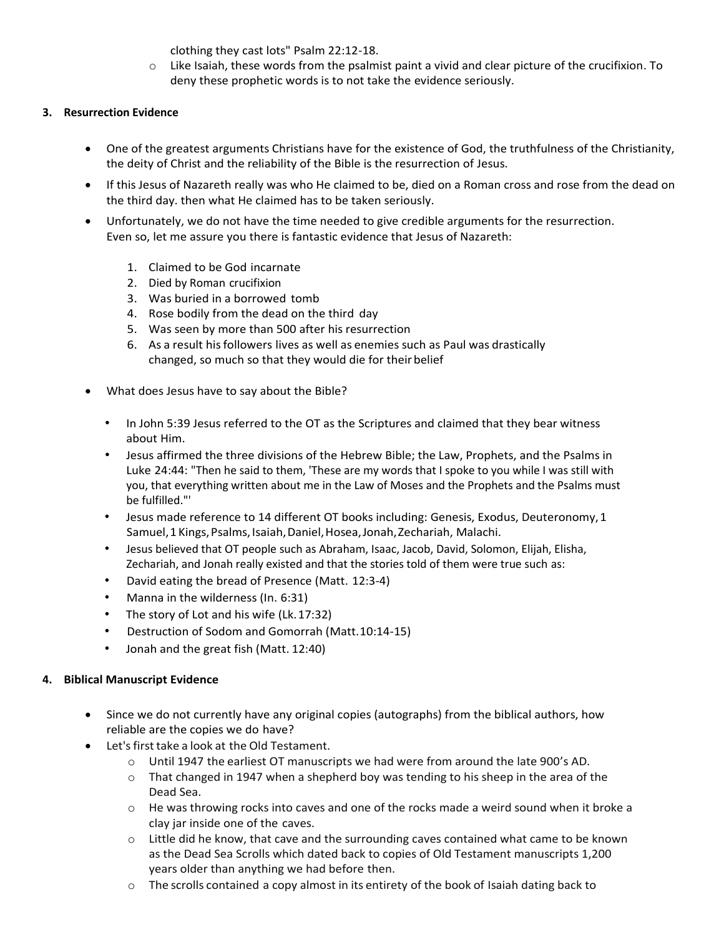clothing they cast lots" Psalm 22:12-18.

 $\circ$  Like Isaiah, these words from the psalmist paint a vivid and clear picture of the crucifixion. To deny these prophetic words is to not take the evidence seriously.

# **3. Resurrection Evidence**

- One of the greatest arguments Christians have for the existence of God, the truthfulness of the Christianity, the deity of Christ and the reliability of the Bible is the resurrection of Jesus.
- If this Jesus of Nazareth really was who He claimed to be, died on a Roman cross and rose from the dead on the third day. then what He claimed has to be taken seriously.
- Unfortunately, we do not have the time needed to give credible arguments for the resurrection. Even so, let me assure you there is fantastic evidence that Jesus of Nazareth:
	- 1. Claimed to be God incarnate
	- 2. Died by Roman crucifixion
	- 3. Was buried in a borrowed tomb
	- 4. Rose bodily from the dead on the third day
	- 5. Was seen by more than 500 after his resurrection
	- 6. As a result hisfollowers lives as well as enemies such as Paul was drastically changed, so much so that they would die for their belief
- What does Jesus have to say about the Bible?
	- In John 5:39 Jesus referred to the OT as the Scriptures and claimed that they bear witness about Him.
	- Jesus affirmed the three divisions of the Hebrew Bible; the Law, Prophets, and the Psalms in Luke 24:44: "Then he said to them, 'These are my words that I spoke to you while I was still with you, that everything written about me in the Law of Moses and the Prophets and the Psalms must be fulfilled."'
	- Jesus made reference to 14 different OT books including: Genesis, Exodus, Deuteronomy,1 Samuel, 1 Kings, Psalms, Isaiah, Daniel, Hosea, Jonah, Zechariah, Malachi.
	- Jesus believed that OT people such as Abraham, Isaac, Jacob, David, Solomon, Elijah, Elisha, Zechariah, and Jonah really existed and that the stories told of them were true such as:
	- David eating the bread of Presence (Matt. 12:3-4)
	- Manna in the wilderness (In. 6:31)
	- The story of Lot and his wife (Lk.17:32)
	- Destruction of Sodom and Gomorrah (Matt.10:14-15)
	- Jonah and the great fish (Matt. 12:40)

# **4. Biblical Manuscript Evidence**

- Since we do not currently have any original copies (autographs) from the biblical authors, how reliable are the copies we do have?
- Let's first take a look at the Old Testament.
	- o Until 1947 the earliest OT manuscripts we had were from around the late 900's AD.
	- $\circ$  That changed in 1947 when a shepherd boy was tending to his sheep in the area of the Dead Sea.
	- $\circ$  He was throwing rocks into caves and one of the rocks made a weird sound when it broke a clay jar inside one of the caves.
	- o Little did he know, that cave and the surrounding caves contained what came to be known as the Dead Sea Scrolls which dated back to copies of Old Testament manuscripts 1,200 years older than anything we had before then.
	- $\circ$  The scrolls contained a copy almost in its entirety of the book of Isaiah dating back to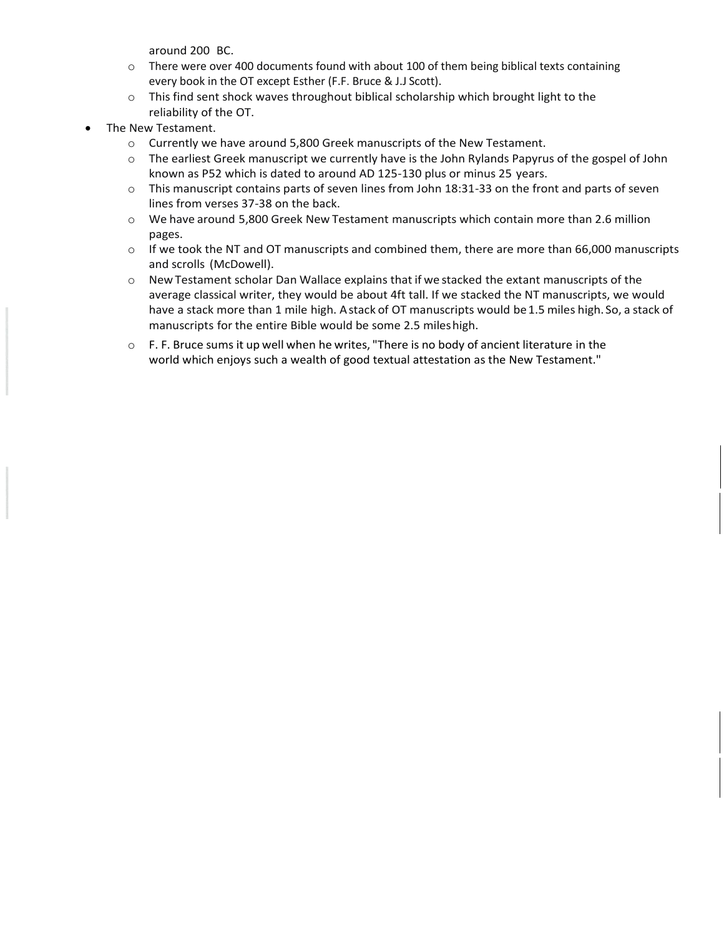around 200 BC.

- $\circ$  There were over 400 documents found with about 100 of them being biblical texts containing every book in the OT except Esther (F.F. Bruce & J.J Scott).
- o This find sent shock waves throughout biblical scholarship which brought light to the reliability of the OT.
- The New Testament.
	- o Currently we have around 5,800 Greek manuscripts of the New Testament.
	- $\circ$  The earliest Greek manuscript we currently have is the John Rylands Papyrus of the gospel of John known as P52 which is dated to around AD 125-130 plus or minus 25 years.
	- o This manuscript contains parts of seven lines from John 18:31-33 on the front and parts of seven lines from verses 37-38 on the back.
	- o We have around 5,800 Greek New Testament manuscripts which contain more than 2.6 million pages.
	- $\circ$  If we took the NT and OT manuscripts and combined them, there are more than 66,000 manuscripts and scrolls (McDowell).
	- o New Testament scholar Dan Wallace explains that if we stacked the extant manuscripts of the average classical writer, they would be about 4ft tall. If we stacked the NT manuscripts, we would have a stack more than 1 mile high. Astack of OT manuscripts would be1.5 miles high. So, a stack of manuscripts for the entire Bible would be some 2.5 mileshigh.
	- o F. F. Bruce sums it up well when he writes, "There is no body of ancient literature in the world which enjoys such a wealth of good textual attestation as the New Testament."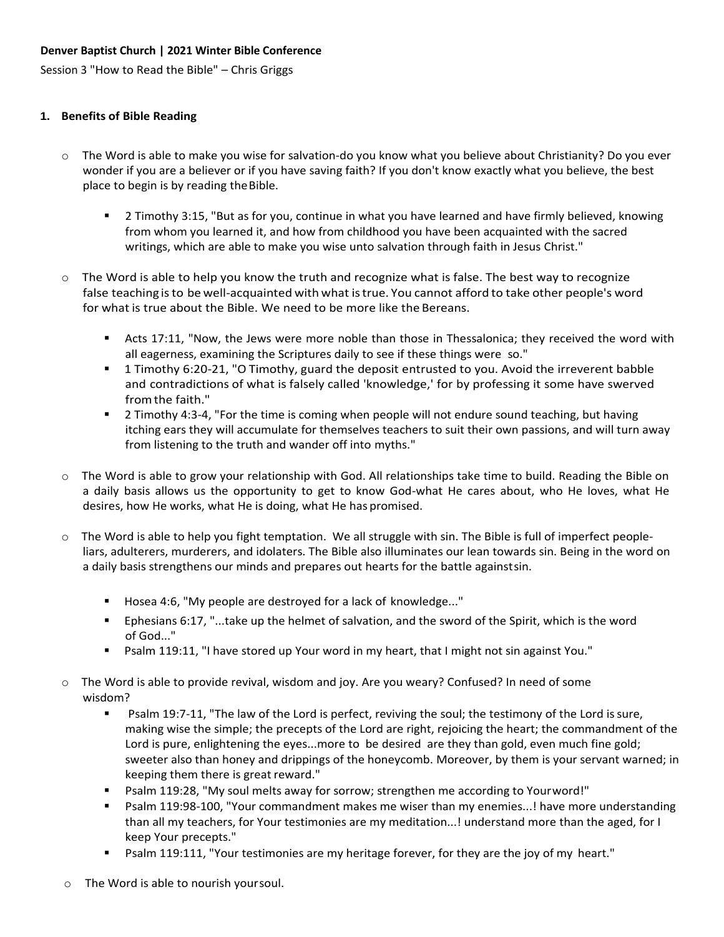# **Denver Baptist Church | 2021 Winter Bible Conference**

Session 3 "How to Read the Bible" – Chris Griggs

## **1. Benefits of Bible Reading**

- o The Word is able to make you wise for salvation-do you know what you believe about Christianity? Do you ever wonder if you are a believer or if you have saving faith? If you don't know exactly what you believe, the best place to begin is by reading the Bible.
	- 2 Timothy 3:15, "But as for you, continue in what you have learned and have firmly believed, knowing from whom you learned it, and how from childhood you have been acquainted with the sacred writings, which are able to make you wise unto salvation through faith in Jesus Christ."
- The Word is able to help you know the truth and recognize what is false. The best way to recognize false teaching isto be well-acquainted with what istrue. You cannot afford to take other people's word for what is true about the Bible. We need to be more like the Bereans.
	- Acts 17:11, "Now, the Jews were more noble than those in Thessalonica; they received the word with all eagerness, examining the Scriptures daily to see if these things were so."
	- 1 Timothy 6:20-21, "O Timothy, guard the deposit entrusted to you. Avoid the irreverent babble and contradictions of what is falsely called 'knowledge,' for by professing it some have swerved fromthe faith."
	- 2 Timothy 4:3-4, "For the time is coming when people will not endure sound teaching, but having itching ears they will accumulate for themselves teachers to suit their own passions, and will turn away from listening to the truth and wander off into myths."
- $\circ$  The Word is able to grow your relationship with God. All relationships take time to build. Reading the Bible on a daily basis allows us the opportunity to get to know God-what He cares about, who He loves, what He desires, how He works, what He is doing, what He has promised.
- $\circ$  The Word is able to help you fight temptation. We all struggle with sin. The Bible is full of imperfect peopleliars, adulterers, murderers, and idolaters. The Bible also illuminates our lean towards sin. Being in the word on a daily basis strengthens our minds and prepares out hearts for the battle againstsin.
	- Hosea 4:6, "My people are destroyed for a lack of knowledge..."
	- Ephesians 6:17, "...take up the helmet of salvation, and the sword of the Spirit, which is the word of God..."
	- Psalm 119:11, "I have stored up Your word in my heart, that I might not sin against You."
- o The Word is able to provide revival, wisdom and joy. Are you weary? Confused? In need of some wisdom?
	- Psalm 19:7-11, "The law of the Lord is perfect, reviving the soul; the testimony of the Lord is sure, making wise the simple; the precepts of the Lord are right, rejoicing the heart; the commandment of the Lord is pure, enlightening the eyes...more to be desired are they than gold, even much fine gold; sweeter also than honey and drippings of the honeycomb. Moreover, by them is your servant warned; in keeping them there is great reward."
	- Psalm 119:28, "My soul melts away for sorrow; strengthen me according to Yourword!"
	- Psalm 119:98-100, "Your commandment makes me wiser than my enemies...! have more understanding than all my teachers, for Your testimonies are my meditation...! understand more than the aged, for I keep Your precepts."
	- Psalm 119:111, "Your testimonies are my heritage forever, for they are the joy of my heart."
- o The Word is able to nourish yoursoul.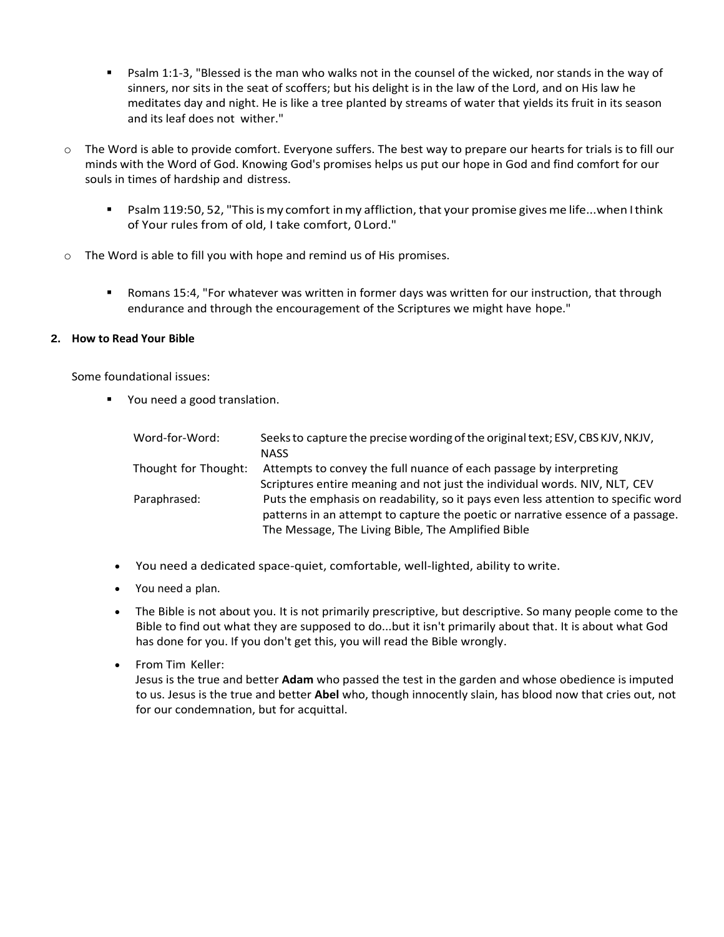- Psalm 1:1-3, "Blessed is the man who walks not in the counsel of the wicked, nor stands in the way of sinners, nor sits in the seat of scoffers; but his delight is in the law of the Lord, and on His law he meditates day and night. He is like a tree planted by streams of water that yields its fruit in its season and its leaf does not wither."
- o The Word is able to provide comfort. Everyone suffers. The best way to prepare our hearts for trials is to fill our minds with the Word of God. Knowing God's promises helps us put our hope in God and find comfort for our souls in times of hardship and distress.
	- Psalm 119:50, 52, "This is my comfort in my affliction, that your promise gives me life...when Ithink of Your rules from of old, I take comfort, 0 Lord."
- $\circ$  The Word is able to fill you with hope and remind us of His promises.
	- Romans 15:4, "For whatever was written in former days was written for our instruction, that through endurance and through the encouragement of the Scriptures we might have hope."

# **2. How to Read Your Bible**

Some foundational issues:

■ You need a good translation.

| Word-for-Word:       | Seeks to capture the precise wording of the original text; ESV, CBS KJV, NKJV,<br><b>NASS</b>                                                                                                                              |
|----------------------|----------------------------------------------------------------------------------------------------------------------------------------------------------------------------------------------------------------------------|
| Thought for Thought: | Attempts to convey the full nuance of each passage by interpreting<br>Scriptures entire meaning and not just the individual words. NIV, NLT, CEV                                                                           |
| Paraphrased:         | Puts the emphasis on readability, so it pays even less attention to specific word<br>patterns in an attempt to capture the poetic or narrative essence of a passage.<br>The Message, The Living Bible, The Amplified Bible |

- You need a dedicated space-quiet, comfortable, well-lighted, ability to write.
- You need a plan.
- The Bible is not about you. It is not primarily prescriptive, but descriptive. So many people come to the Bible to find out what they are supposed to do...but it isn't primarily about that. It is about what God has done for you. If you don't get this, you will read the Bible wrongly.
- From Tim Keller: Jesus is the true and better **Adam** who passed the test in the garden and whose obedience is imputed to us. Jesus is the true and better **Abel** who, though innocently slain, has blood now that cries out, not for our condemnation, but for acquittal.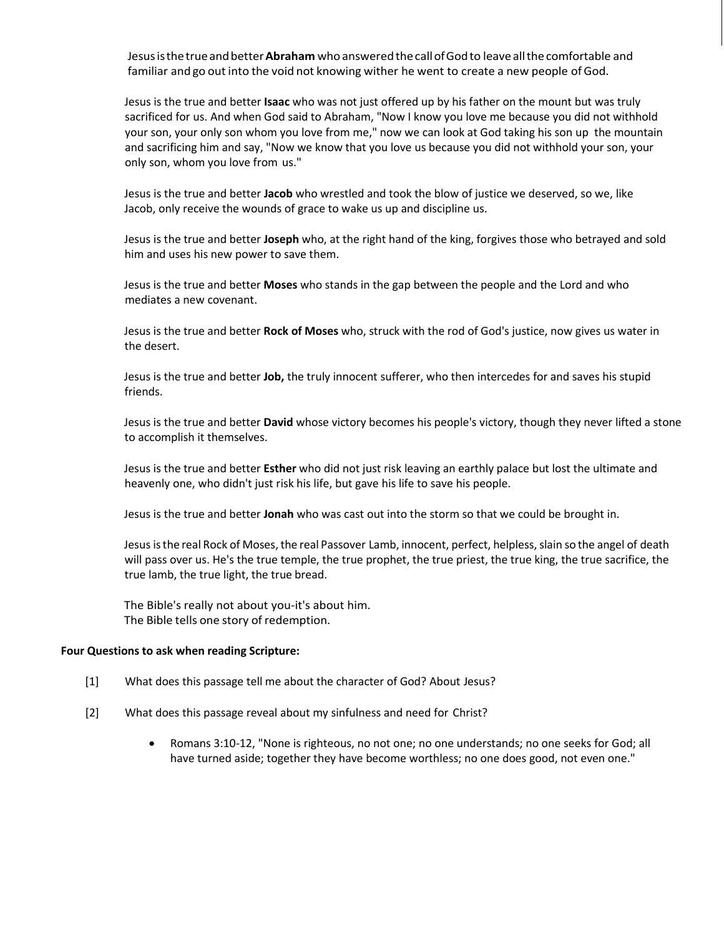Jesusisthetrueandbetter**Abraham** whoanswered thecallofGodto leaveallthe comfortable and familiar and go out into the void not knowing wither he went to create a new people of God.

Jesus is the true and better **Isaac** who was not just offered up by his father on the mount but was truly sacrificed for us. And when God said to Abraham, "Now I know you love me because you did not withhold your son, your only son whom you love from me," now we can look at God taking his son up the mountain and sacrificing him and say, "Now we know that you love us because you did not withhold your son, your only son, whom you love from us."

Jesus is the true and better **Jacob** who wrestled and took the blow of justice we deserved, so we, like Jacob, only receive the wounds of grace to wake us up and discipline us.

Jesus is the true and better **Joseph** who, at the right hand of the king, forgives those who betrayed and sold him and uses his new power to save them.

Jesus is the true and better **Moses** who stands in the gap between the people and the Lord and who mediates a new covenant.

Jesus is the true and better **Rock of Moses** who, struck with the rod of God's justice, now gives us water in the desert.

Jesus is the true and better **Job,** the truly innocent sufferer, who then intercedes for and saves his stupid friends.

Jesus is the true and better **David** whose victory becomes his people's victory, though they never lifted a stone to accomplish it themselves.

Jesus is the true and better **Esther** who did not just risk leaving an earthly palace but lost the ultimate and heavenly one, who didn't just risk his life, but gave his life to save his people.

Jesus is the true and better **Jonah** who was cast out into the storm so that we could be brought in.

Jesus is the real Rock of Moses, the real Passover Lamb, innocent, perfect, helpless, slain so the angel of death will pass over us. He's the true temple, the true prophet, the true priest, the true king, the true sacrifice, the true lamb, the true light, the true bread.

The Bible's really not about you-it's about him. The Bible tells one story of redemption.

#### **Four Questions to ask when reading Scripture:**

- [1] What does this passage tell me about the character of God? About Jesus?
- [2] What does this passage reveal about my sinfulness and need for Christ?
	- Romans 3:10-12, "None is righteous, no not one; no one understands; no one seeks for God; all have turned aside; together they have become worthless; no one does good, not even one."